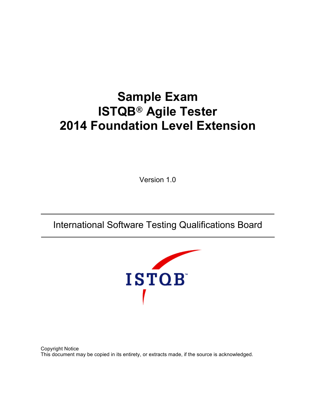# **Sample Exam ISTQB® Agile Tester 2014 Foundation Level Extension**

Version 1.0

International Software Testing Qualifications Board



Copyright Notice This document may be copied in its entirety, or extracts made, if the source is acknowledged.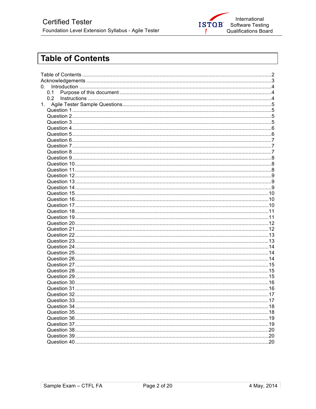

## **Table of Contents**

| 0.  |  |
|-----|--|
| 0.1 |  |
| 0.2 |  |
| 1.  |  |
|     |  |
|     |  |
|     |  |
|     |  |
|     |  |
|     |  |
|     |  |
|     |  |
|     |  |
|     |  |
|     |  |
|     |  |
|     |  |
|     |  |
|     |  |
|     |  |
|     |  |
|     |  |
|     |  |
|     |  |
|     |  |
|     |  |
|     |  |
|     |  |
|     |  |
|     |  |
|     |  |
|     |  |
|     |  |
|     |  |
|     |  |
|     |  |
|     |  |
|     |  |
|     |  |
|     |  |
|     |  |
|     |  |
|     |  |
|     |  |
|     |  |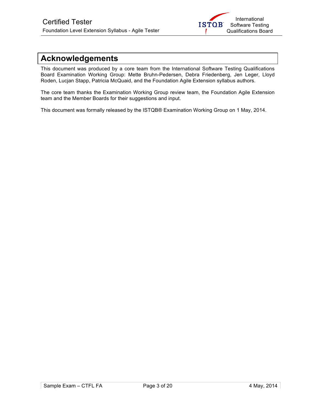

## **Acknowledgements**

This document was produced by a core team from the International Software Testing Qualifications Board Examination Working Group: Mette Bruhn-Pedersen, Debra Friedenberg, Jen Leger, Lloyd Roden, Lucjan Stapp, Patricia McQuaid, and the Foundation Agile Extension syllabus authors.

The core team thanks the Examination Working Group review team, the Foundation Agile Extension team and the Member Boards for their suggestions and input.

This document was formally released by the ISTQB® Examination Working Group on 1 May, 2014.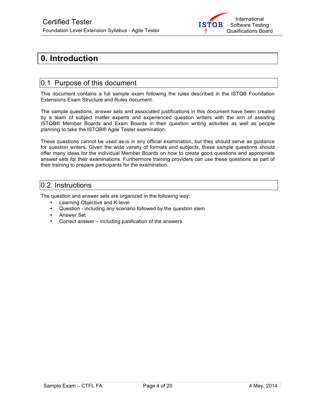

## **0. Introduction**

### 0.1 Purpose of this document

This document contains a full sample exam following the rules described in the ISTQB Foundation Extensions Exam Structure and Rules document.

The sample questions, answer sets and associated justifications in this document have been created by a team of subject matter experts and experienced question writers with the aim of assisting ISTQB® Member Boards and Exam Boards in their question writing activities as well as people planning to take the ISTQB® Agile Tester examination.

These questions cannot be used as-is in any official examination, but they should serve as guidance for question writers. Given the wide variety of formats and subjects, these sample questions should offer many ideas for the individual Member Boards on how to create good questions and appropriate answer sets for their examinations. Furthermore training providers can use these questions as part of their training to prepare participants for the examination.

### 0.2 Instructions

The question and answer sets are organized in the following way:

- Learning Objective and K-level
- Question including any scenario followed by the question stem
- Answer Set
- Correct answer including justification of the answers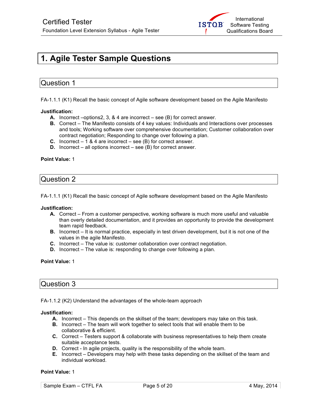

## **1. Agile Tester Sample Questions**

### Question 1

FA-1.1.1 (K1) Recall the basic concept of Agile software development based on the Agile Manifesto

### **Justification:**

- **A.** Incorrect –options2, 3, & 4 are incorrect see (B) for correct answer.
- **B.** Correct The Manifesto consists of 4 key values: Individuals and Interactions over processes and tools; Working software over comprehensive documentation; Customer collaboration over contract negotiation; Responding to change over following a plan.
- **C.** Incorrect 1 & 4 are incorrect see (B) for correct answer.
- **D.** Incorrect all options incorrect see (B) for correct answer.

### **Point Value:** 1

### Question 2

FA-1.1.1 (K1) Recall the basic concept of Agile software development based on the Agile Manifesto

#### **Justification:**

- **A.** Correct From a customer perspective, working software is much more useful and valuable than overly detailed documentation, and it provides an opportunity to provide the development team rapid feedback.
- **B.** Incorrect It is normal practice, especially in test driven development, but it is not one of the values in the agile Manifesto.
- **C.** Incorrect The value is: customer collaboration over contract negotiation.
- **D.** Incorrect The value is: responding to change over following a plan.

### **Point Value:** 1

### Question 3

FA-1.1.2 (K2) Understand the advantages of the whole-team approach

#### **Justification:**

- **A.** Incorrect This depends on the skillset of the team; developers may take on this task.
- **B.** Incorrect The team will work together to select tools that will enable them to be collaborative & efficient.
- **C.** Correct Testers support & collaborate with business representatives to help them create suitable acceptance tests.
- **D.** Correct In agile projects, quality is the responsibility of the whole team.
- **E.** Incorrect Developers may help with these tasks depending on the skillset of the team and individual workload.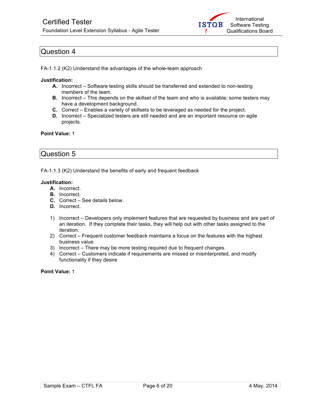

FA-1.1.2 (K2) Understand the advantages of the whole-team approach

### **Justification:**

- **A.** Incorrect Software testing skills should be transferred and extended to non-testing members of the team.
- **B.** Incorrect This depends on the skillset of the team and who is available; some testers may have a development background.
- **C.** Correct Enables a variety of skillsets to be leveraged as needed for the project.
- **D.** Incorrect Specialized testers are still needed and are an important resource on agile projects.

### **Point Value:** 1

### Question 5

FA-1.1.3 (K2) Understand the benefits of early and frequent feedback

#### **Justification:**

- **A.** Incorrect.
- **B.** Incorrect.
- **C.** Correct See details below.
- **D.** Incorrect.
- 1) Incorrect Developers only implement features that are requested by business and are part of an iteration. If they complete their tasks, they will help out with other tasks assigned to the iteration.
- 2) Correct Frequent customer feedback maintains a focus on the features with the highest business value
- 3) Incorrect There may be more testing required due to frequent changes.
- 4) Correct Customers indicate if requirements are missed or misinterpreted, and modify functionality if they desire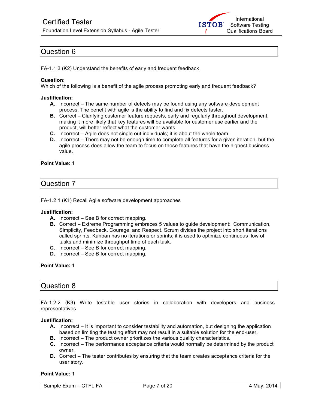

FA-1.1.3 (K2) Understand the benefits of early and frequent feedback

### **Question:**

Which of the following is a benefit of the agile process promoting early and frequent feedback?

### **Justification:**

- **A.** Incorrect The same number of defects may be found using any software development process. The benefit with agile is the ability to find and fix defects faster.
- **B.** Correct Clarifying customer feature requests, early and regularly throughout development, making it more likely that key features will be available for customer use earlier and the product, will better reflect what the customer wants.
- **C.** Incorrect Agile does not single out individuals; it is about the whole team.
- **D.** Incorrect There may not be enough time to complete all features for a given iteration, but the agile process does allow the team to focus on those features that have the highest business value.

### **Point Value:** 1

### Question 7

FA-1.2.1 (K1) Recall Agile software development approaches

### **Justification:**

- **A.** Incorrect See B for correct mapping.
- **B.** Correct Extreme Programming embraces 5 values to guide development: Communication, Simplicity, Feedback, Courage, and Respect. Scrum divides the project into short iterations called sprints. Kanban has no iterations or sprints; it is used to optimize continuous flow of tasks and minimize throughput time of each task.
- **C.** Incorrect See B for correct mapping.
- **D.** Incorrect See B for correct mapping.

### **Point Value:** 1

### Question 8

FA-1.2.2 (K3) Write testable user stories in collaboration with developers and business representatives

#### **Justification:**

- **A.** Incorrect It is important to consider testability and automation, but designing the application based on limiting the testing effort may not result in a suitable solution for the end-user.
- **B.** Incorrect The product owner prioritizes the various quality characteristics.
- **C.** Incorrect The performance acceptance criteria would normally be determined by the product owner.
- **D.** Correct The tester contributes by ensuring that the team creates acceptance criteria for the user story.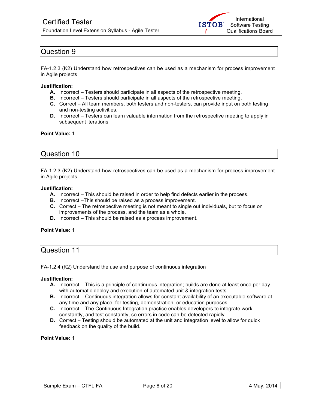

FA-1.2.3 (K2) Understand how retrospectives can be used as a mechanism for process improvement in Agile projects

#### **Justification:**

- **A.** Incorrect Testers should participate in all aspects of the retrospective meeting.
- **B.** Incorrect Testers should participate in all aspects of the retrospective meeting.
- **C.** Correct All team members, both testers and non-testers, can provide input on both testing and non-testing activities.
- **D.** Incorrect Testers can learn valuable information from the retrospective meeting to apply in subsequent iterations

### **Point Value:** 1

### Question 10

FA-1.2.3 (K2) Understand how retrospectives can be used as a mechanism for process improvement in Agile projects

#### **Justification:**

- **A.** Incorrect This should be raised in order to help find defects earlier in the process.
- **B.** Incorrect –This should be raised as a process improvement.
- **C.** Correct The retrospective meeting is not meant to single out individuals, but to focus on improvements of the process, and the team as a whole.
- **D.** Incorrect This should be raised as a process improvement.

### **Point Value:** 1

| <b>Question 11</b> |  |
|--------------------|--|
|                    |  |

FA-1.2.4 (K2) Understand the use and purpose of continuous integration

#### **Justification:**

- **A.** Incorrect This is a principle of continuous integration; builds are done at least once per day with automatic deploy and execution of automated unit & integration tests.
- **B.** Incorrect Continuous integration allows for constant availability of an executable software at any time and any place, for testing, demonstration, or education purposes.
- **C.** Incorrect The Continuous Integration practice enables developers to integrate work constantly, and test constantly, so errors in code can be detected rapidly.
- **D.** Correct Testing should be automated at the unit and integration level to allow for quick feedback on the quality of the build.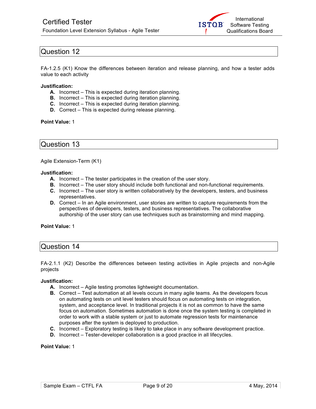

FA-1.2.5 (K1) Know the differences between iteration and release planning, and how a tester adds value to each activity

#### **Justification:**

- **A.** Incorrect This is expected during iteration planning.
- **B.** Incorrect This is expected during iteration planning.
- **C.** Incorrect This is expected during iteration planning.
- **D.** Correct This is expected during release planning.

#### **Point Value:** 1

### Question 13

Agile Extension-Term (K1)

#### **Justification:**

- **A.** Incorrect The tester participates in the creation of the user story.
- **B.** Incorrect The user story should include both functional and non-functional requirements.
- **C.** Incorrect The user story is written collaboratively by the developers, testers, and business representatives.
- **D.** Correct In an Agile environment, user stories are written to capture requirements from the perspectives of developers, testers, and business representatives. The collaborative authorship of the user story can use techniques such as brainstorming and mind mapping.

### **Point Value:** 1

### Question 14

FA-2.1.1 (K2) Describe the differences between testing activities in Agile projects and non-Agile projects

### **Justification:**

- **A.** Incorrect Agile testing promotes lightweight documentation.
- **B.** Correct Test automation at all levels occurs in many agile teams. As the developers focus on automating tests on unit level testers should focus on automating tests on integration, system, and acceptance level. In traditional projects it is not as common to have the same focus on automation. Sometimes automation is done once the system testing is completed in order to work with a stable system or just to automate regression tests for maintenance purposes after the system is deployed to production.
- **C.** Incorrect Exploratory testing is likely to take place in any software development practice.
- **D.** Incorrect Tester-developer collaboration is a good practice in all lifecycles.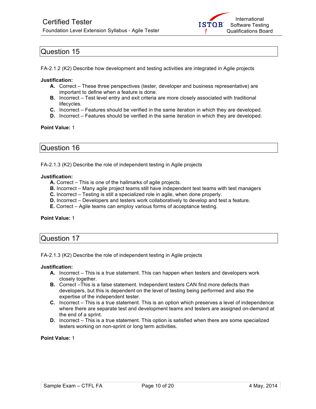

FA-2.1.2 (K2) Describe how development and testing activities are integrated in Agile projects

#### **Justification:**

- **A.** Correct These three perspectives (tester, developer and business representative) are important to define when a feature is done.
- **B.** Incorrect Test level entry and exit criteria are more closely associated with traditional lifecycles.
- **C.** Incorrect Features should be verified in the same iteration in which they are developed.
- **D.** Incorrect Features should be verified in the same iteration in which they are developed.

### **Point Value:** 1

### Question 16

FA-2.1.3 (K2) Describe the role of independent testing in Agile projects

#### **Justification:**

- **A.** Correct This is one of the hallmarks of agile projects.
- **B.** Incorrect Many agile project teams still have independent test teams with test managers
- **C.** Incorrect Testing is still a specialized role in agile, when done properly.
- **D.** Incorrect Developers and testers work collaboratively to develop and test a feature.
- **E.** Correct Agile teams can employ various forms of acceptance testing.

### **Point Value:** 1

### Question 17

FA-2.1.3 (K2) Describe the role of independent testing in Agile projects

### **Justification:**

- **A.** Incorrect This is a true statement. This can happen when testers and developers work closely together.
- **B.** Correct –This is a false statement. Independent testers CAN find more defects than developers, but this is dependent on the level of testing being performed and also the expertise of the independent tester.
- **C.** Incorrect This is a true statement. This is an option which preserves a level of independence where there are separate test and development teams and testers are assigned on-demand at the end of a sprint.
- **D.** Incorrect This is a true statement. This option is satisfied when there are some specialized testers working on non-sprint or long term activities.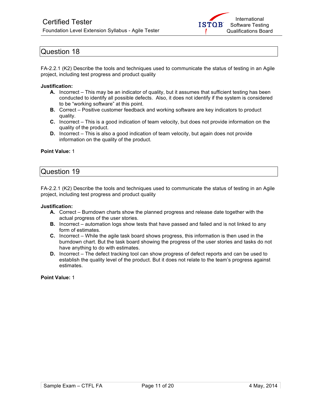

FA-2.2.1 (K2) Describe the tools and techniques used to communicate the status of testing in an Agile project, including test progress and product quality

#### **Justification:**

- **A.** Incorrect This may be an indicator of quality, but it assumes that sufficient testing has been conducted to identify all possible defects. Also, it does not identify if the system is considered to be "working software" at this point.
- **B.** Correct Positive customer feedback and working software are key indicators to product quality.
- **C.** Incorrect This is a good indication of team velocity, but does not provide information on the quality of the product.
- **D.** Incorrect This is also a good indication of team velocity, but again does not provide information on the quality of the product.

#### **Point Value:** 1

### Question 19

FA-2.2.1 (K2) Describe the tools and techniques used to communicate the status of testing in an Agile project, including test progress and product quality

#### **Justification:**

- **A.** Correct Burndown charts show the planned progress and release date together with the actual progress of the user stories.
- **B.** Incorrect automation logs show tests that have passed and failed and is not linked to any form of estimates.
- **C.** Incorrect While the agile task board shows progress, this information is then used in the burndown chart. But the task board showing the progress of the user stories and tasks do not have anything to do with estimates.
- **D.** Incorrect The defect tracking tool can show progress of defect reports and can be used to establish the quality level of the product. But it does not relate to the team's progress against estimates.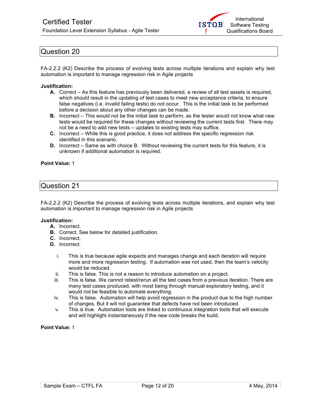

FA-2.2.2 (K2) Describe the process of evolving tests across multiple iterations and explain why test automation is important to manage regression risk in Agile projects

#### **Justification:**

- **A.** Correct As this feature has previously been delivered, a review of all test assets is required, which should result in the updating of test cases to meet new acceptance criteria, to ensure false negatives (i.e. invalid failing tests) do not occur. This is the initial task to be performed before a decision about any other changes can be made.
- **B.** Incorrect This would not be the initial task to perform, as the tester would not know what new tests would be required for these changes without reviewing the current tests first. There may not be a need to add new tests – updates to existing tests may suffice.
- **C.** Incorrect While this is good practice, it does not address the specific regression risk identified in this scenario.
- **D.** Incorrect Same as with choice B. Without reviewing the current tests for this feature, it is unknown if additional automation is required.

#### **Point Value:** 1

### Question 21

FA-2.2.2 (K2) Describe the process of evolving tests across multiple iterations, and explain why test automation is important to manage regression risk in Agile projects

#### **Justification:**

- **A.** Incorrect.
- **B.** Correct. See below for detailed justification.
- **C.** Incorrect.
- **D.** Incorrect.
	- i. This is true because agile expects and manages change and each iteration will require more and more regression testing. If automation was not used, then the team's velocity would be reduced.
	- ii. This is false. This is not a reason to introduce automation on a project.
	- iii. This is false. We cannot retest/rerun all the test cases from a previous iteration. There are many test cases produced, with most being through manual exploratory testing, and it would not be feasible to automate everything.
	- iv. This is false. Automation will help avoid regression in the product due to the high number of changes. But it will not guarantee that defects have not been introduced.
	- v. This is true. Automation tools are linked to continuous integration tools that will execute and will highlight instantaneously if the new code breaks the build.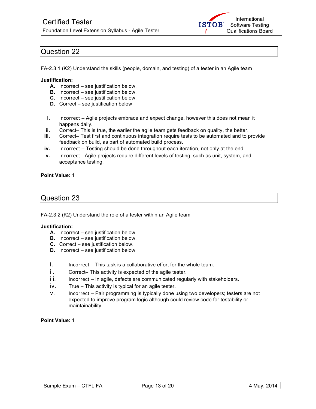

FA-2.3.1 (K2) Understand the skills (people, domain, and testing) of a tester in an Agile team

### **Justification:**

.

- **A.** Incorrect see justification below.
- **B.** Incorrect see justification below.
- **C.** Incorrect see justification below.
- **D.** Correct see justification below
- **i.** Incorrect Agile projects embrace and expect change, however this does not mean it happens daily.
- **ii.** Correct– This is true, the earlier the agile team gets feedback on quality, the better.
- **iii.** Correct– Test first and continuous integration require tests to be automated and to provide feedback on build, as part of automated build process.
- **iv.** Incorrect Testing should be done throughout each iteration, not only at the end.
- **v.** Incorrect Agile projects require different levels of testing, such as unit, system, and acceptance testing.

### **Point Value:** 1

### Question 23

FA-2.3.2 (K2) Understand the role of a tester within an Agile team

### **Justification:**

- **A.** Incorrect see justification below.
- **B.** Incorrect see justification below.
- **C.** Correct see justification below.
- **D.** Incorrect see justification below
- $i.$  Incorrect This task is a collaborative effort for the whole team.
- ii. Correct– This activity is expected of the agile tester.
- iii. Incorrect In agile, defects are communicated regularly with stakeholders.
- iv. True This activity is typical for an agile tester.
- v. Incorrect Pair programming is typically done using two developers; testers are not expected to improve program logic although could review code for testability or maintainability.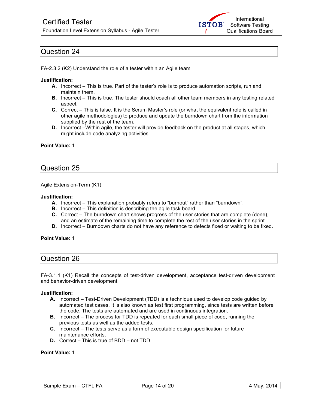

FA-2.3.2 (K2) Understand the role of a tester within an Agile team

#### **Justification:**

- **A.** Incorrect This is true. Part of the tester's role is to produce automation scripts, run and maintain them.
- **B.** Incorrect This is true. The tester should coach all other team members in any testing related aspect.
- **C.** Correct This is false. It is the Scrum Master's role (or what the equivalent role is called in other agile methodologies) to produce and update the burndown chart from the information supplied by the rest of the team.
- **D.** Incorrect –Within agile, the tester will provide feedback on the product at all stages, which might include code analyzing activities.

### **Point Value:** 1

### Question 25

Agile Extension-Term (K1)

#### **Justification:**

- **A.** Incorrect This explanation probably refers to "burnout" rather than "burndown".
- **B.** Incorrect This definition is describing the agile task board.
- **C.** Correct The burndown chart shows progress of the user stories that are complete (done), and an estimate of the remaining time to complete the rest of the user stories in the sprint.
- **D.** Incorrect Burndown charts do not have any reference to defects fixed or waiting to be fixed.

#### **Point Value:** 1

### Question 26

FA-3.1.1 (K1) Recall the concepts of test-driven development, acceptance test-driven development and behavior-driven development

#### **Justification:**

- **A.** Incorrect Test-Driven Development (TDD) is a technique used to develop code guided by automated test cases. It is also known as test first programming, since tests are written before the code. The tests are automated and are used in continuous integration.
- **B.** Incorrect The process for TDD is repeated for each small piece of code, running the previous tests as well as the added tests.
- **C.** Incorrect The tests serve as a form of executable design specification for future maintenance efforts.
- **D.** Correct This is true of BDD not TDD.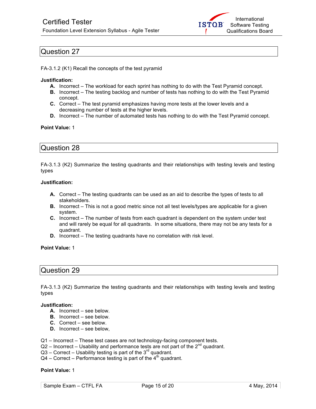

FA-3.1.2 (K1) Recall the concepts of the test pyramid

#### **Justification:**

- **A.** Incorrect The workload for each sprint has nothing to do with the Test Pyramid concept.
- **B.** Incorrect The testing backlog and number of tests has nothing to do with the Test Pyramid concept.
- **C.** Correct The test pyramid emphasizes having more tests at the lower levels and a decreasing number of tests at the higher levels.
- **D.** Incorrect The number of automated tests has nothing to do with the Test Pyramid concept.

### **Point Value:** 1

### Question 28

FA-3.1.3 (K2) Summarize the testing quadrants and their relationships with testing levels and testing types

### **Justification:**

- **A.** Correct The testing quadrants can be used as an aid to describe the types of tests to all stakeholders.
- **B.** Incorrect This is not a good metric since not all test levels/types are applicable for a given system.
- **C.** Incorrect The number of tests from each quadrant is dependent on the system under test and will rarely be equal for all quadrants. In some situations, there may not be any tests for a quadrant.
- **D.** Incorrect The testing quadrants have no correlation with risk level.

#### **Point Value:** 1

## Question 29

FA-3.1.3 (K2) Summarize the testing quadrants and their relationships with testing levels and testing types

### **Justification:**

- **A.** Incorrect see below.
- **B.** Incorrect see below.
- **C.** Correct see below.
- **D.** Incorrect see below,

### Q1 – Incorrect – These test cases are not technology-facing component tests.

- $Q2$  Incorrect Usability and performance tests are not part of the  $2^{nd}$  quadrant.
- $Q3$  Correct Usability testing is part of the  $3<sup>rd</sup>$  quadrant.
- $Q4$  Correct Performance testing is part of the  $4<sup>th</sup>$  quadrant.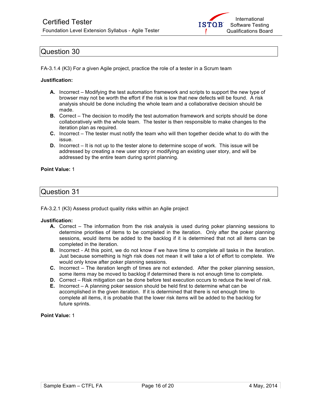

FA-3.1.4 (K3) For a given Agile project, practice the role of a tester in a Scrum team

### **Justification:**

- **A.** Incorrect Modifying the test automation framework and scripts to support the new type of browser may not be worth the effort if the risk is low that new defects will be found. A risk analysis should be done including the whole team and a collaborative decision should be made.
- **B.** Correct The decision to modify the test automation framework and scripts should be done collaboratively with the whole team. The tester is then responsible to make changes to the iteration plan as required.
- **C.** Incorrect The tester must notify the team who will then together decide what to do with the issue.
- **D.** Incorrect It is not up to the tester alone to determine scope of work. This issue will be addressed by creating a new user story or modifying an existing user story, and will be addressed by the entire team during sprint planning.

### **Point Value:** 1

### Question 31

FA-3.2.1 (K3) Assess product quality risks within an Agile project

### **Justification:**

- **A.** Correct The information from the risk analysis is used during poker planning sessions to determine priorities of items to be completed in the iteration. Only after the poker planning sessions, would items be added to the backlog if it is determined that not all items can be completed in the iteration.
- **B.** Incorrect At this point, we do not know if we have time to complete all tasks in the iteration. Just because something is high risk does not mean it will take a lot of effort to complete. We would only know after poker planning sessions.
- **C.** Incorrect The iteration length of times are not extended. After the poker planning session, some items may be moved to backlog if determined there is not enough time to complete.
- **D.** Correct Risk mitigation can be done before test execution occurs to reduce the level of risk.
- **E.** Incorrect A planning poker session should be held first to determine what can be accomplished in the given iteration. If it is determined that there is not enough time to complete all items, it is probable that the lower risk items will be added to the backlog for future sprints.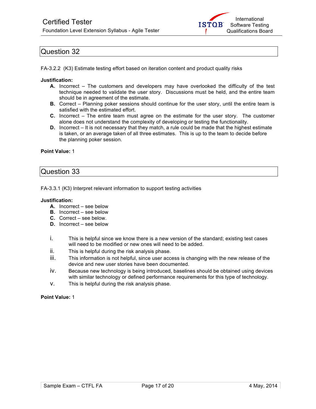

FA-3.2.2 (K3) Estimate testing effort based on iteration content and product quality risks

#### **Justification:**

- **A.** Incorrect The customers and developers may have overlooked the difficulty of the test technique needed to validate the user story. Discussions must be held, and the entire team should be in agreement of the estimate.
- **B.** Correct Planning poker sessions should continue for the user story, until the entire team is satisfied with the estimated effort.
- **C.** Incorrect The entire team must agree on the estimate for the user story. The customer alone does not understand the complexity of developing or testing the functionality.
- **D.** Incorrect It is not necessary that they match, a rule could be made that the highest estimate is taken, or an average taken of all three estimates. This is up to the team to decide before the planning poker session.

#### **Point Value:** 1

### Question 33

FA-3.3.1 (K3) Interpret relevant information to support testing activities

#### **Justification:**

- **A.** Incorrect see below
- **B.** Incorrect see below
- **C.** Correct see below.
- **D.** Incorrect see below
- i. This is helpful since we know there is a new version of the standard; existing test cases will need to be modified or new ones will need to be added.
- ii. This is helpful during the risk analysis phase.
- iii. This information is not helpful, since user access is changing with the new release of the device and new user stories have been documented.
- iv. Because new technology is being introduced, baselines should be obtained using devices with similar technology or defined performance requirements for this type of technology.
- v. This is helpful during the risk analysis phase.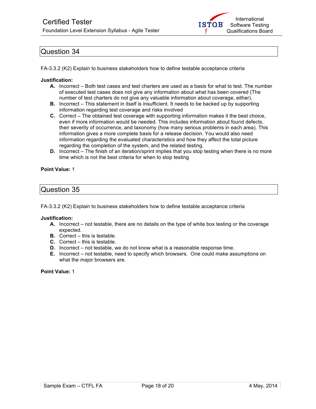

FA-3.3.2 (K2) Explain to business stakeholders how to define testable acceptance criteria

### **Justification:**

- **A.** Incorrect Both test cases and test charters are used as a basis for what to test. The number of executed test cases does not give any information about what has been covered (The number of test charters do not give any valuable information about coverage, either).
- **B.** Incorrect This statement in itself is insufficient. It needs to be backed up by supporting information regarding test coverage and risks involved
- **C.** Correct The obtained test coverage with supporting information makes it the best choice, even if more information would be needed. This includes information about found defects, their severity of occurrence, and taxonomy (how many serious problems in each area). This information gives a more complete basis for a release decision. You would also need information regarding the evaluated characteristics and how they affect the total picture regarding the completion of the system, and the related testing.
- **D.** Incorrect The finish of an iteration/sprint implies that you stop testing when there is no more time which is not the best criteria for when to stop testing

### **Point Value:** 1

### Question 35

FA-3.3.2 (K2) Explain to business stakeholders how to define testable acceptance criteria

### **Justification:**

- **A.** Incorrect not testable, there are no details on the type of white box testing or the coverage expected.
- **B.** Correct this is testable.
- **C.** Correct this is testable.
- **D.** Incorrect not testable, we do not know what is a reasonable response time.
- **E.** Incorrect not testable, need to specify which browsers. One could make assumptions on what the major browsers are.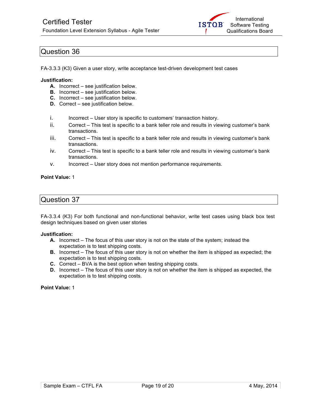

FA-3.3.3 (K3) Given a user story, write acceptance test-driven development test cases

### **Justification:**

- **A.** Incorrect see justification below.
- **B.** Incorrect see justification below.
- **C.** Incorrect see justification below.
- **D.** Correct see justification below.
- i. Incorrect User story is specific to customers' transaction history.
- ii. Correct This test is specific to a bank teller role and results in viewing customer's bank transactions.
- iii. Correct This test is specific to a bank teller role and results in viewing customer's bank transactions.
- iv. Correct This test is specific to a bank teller role and results in viewing customer's bank transactions.
- v. Incorrect User story does not mention performance requirements.

### **Point Value:** 1

### Question 37

FA-3.3.4 (K3) For both functional and non-functional behavior, write test cases using black box test design techniques based on given user stories

### **Justification:**

- **A.** Incorrect The focus of this user story is not on the state of the system; instead the expectation is to test shipping costs.
- **B.** Incorrect The focus of this user story is not on whether the item is shipped as expected; the expectation is to test shipping costs.
- **C.** Correct BVA is the best option when testing shipping costs.
- **D.** Incorrect The focus of this user story is not on whether the item is shipped as expected, the expectation is to test shipping costs.